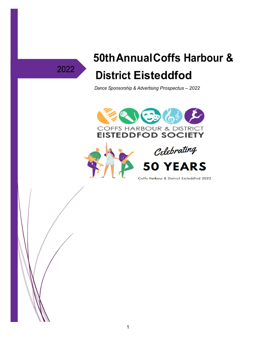# 2022

# 50th Annual Coffs Harbour & **District Eisteddfod**

Dance Sponsorship & Advertising Prospectus - 2022



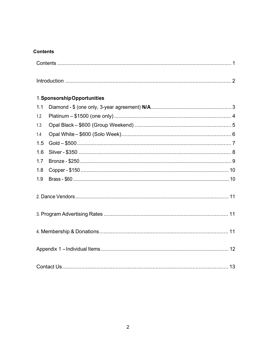#### **Contents**

|     | 1. Sponsorship Opportunities |  |
|-----|------------------------------|--|
| 1.1 |                              |  |
| 1.2 |                              |  |
| 1.3 |                              |  |
| 1.4 |                              |  |
| 1.5 |                              |  |
|     |                              |  |
|     |                              |  |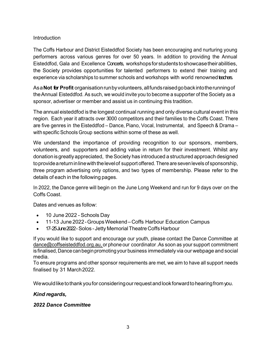#### **Introduction**

The Coffs Harbour and District Eisteddfod Society has been encouraging and nurturing young performers across various genres for over 50 years. In addition to providing the Annual Eisteddfod, Gala and Excellence Concerts, workshopsforstudentstoshowcasetheirabilities, the Society provides opportunities for talented performers to extend their training and experience via scholarships to summer schools and workshops with world renowned teachers.

Asa**Not for Profit** organisationrunbyvolunteers,allfundsraisedgobackintotherunningof theAnnual Eisteddfod. As such, we would invite you to become a supporter of the Society as a sponsor, advertiser or member and assist us in continuing this tradition.

The annual eisteddfod is the longest continual running and only diverse cultural event in this region. Each year it attracts over 3000 competitors and their families to the Coffs Coast. There are five genres in the Eisteddfod – Dance, Piano, Vocal, Instrumental, and Speech & Drama – with specific Schools Group sections within some of these as well.

We understand the importance of providing recognition to our sponsors, members, volunteers, and supporters and adding value in return for their investment. Whilst any donationisgreatlyappreciated, theSociety has introduced a structured approach designed toprovideareturninlinewiththelevelof support offered. There are seven levels of sponsorship, three program advertising only options, and two types of membership. Please refer to the details of each in the following pages.

In 2022, the Dance genre will begin on the June Long Weekend and run for 9 days over on the Coffs Coast.

Dates and venues as follow:

- 10 June 2022 Schools Day
- 11-13 June 2022-GroupsWeekend–Coffs Harbour Education Campus
- 17-25June2022-Solos Jetty MemorialTheatreCoffs Harbour

If you would like to support and encourage our youth, please contact the Dance Committee at [dance@coffseisteddfod.org.au,](mailto:dance@coffseisteddfod.org.au,) or phone our coordinator. As soon as your support commitment is finalised, Dance can begin promoting your business immediately via our webpage and social media.

To ensure programs and other sponsor requirements are met, we aim to have all support needs finalised by 31 March2022.

We would like to thank you for considering our request and look forward to hearing from you.

#### *Kind regards,*

#### *2022 Dance Committee*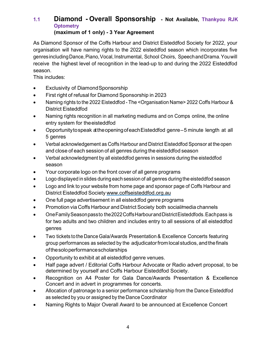### <span id="page-3-0"></span>**1.1 Diamond - Overall Sponsorship - Not Available, Thankyou RJK Optometry**

#### **(maximum of 1 only) - 3 Year Agreement**

As Diamond Sponsor of the Coffs Harbour and District Eisteddfod Society for 2022, your organisation will have naming rights to the 2022 eisteddfod season which incorporates five genresincludingDance,Piano,Vocal,Instrumental, School Choirs, SpeechandDrama.Youwill receive the highest level of recognition in the lead-up to and during the 2022 Eisteddfod season.

- Exclusivity of DiamondSponsorship
- First right of refusal for Diamond Sponsorship in 2023
- Naming rights to the 2022 Eisteddfod The <Organisation Name> 2022 Coffs Harbour & District Eisteddfod
- Naming rights recognition in all marketing mediums and on Comps online, the online entry system for theeisteddfod
- Opportunitytospeak at theopeningofeachEisteddfod genre–5 minute length at all 5 genres
- Verbal acknowledgement as Coffs Harbour and District Eisteddfod Sponsor at the open and close of each session of all genres during the eisteddfod season
- Verbal acknowledgment by all eisteddfod genres in sessions during the eisteddfod season
- Your corporate logo on the front cover of all genre programs
- Logo displayed in slides during each session of all genres duringthe eisteddfod season
- Logo and link to your website from home page and sponsor page of Coffs Harbour and District Eisteddfod Society [www.coffseisteddfod.org.au](http://www.coffseisteddfod.org.au/)
- One full page advertisement in all eisteddfod genre programs
- Promotion via Coffs Harbour and District Society both social/media channels
- OneFamilySeasonpassto the2022CoffsHarbourandDistrictEisteddfods.Eachpass is for two adults and two children and includes entry to all sessions of all eisteddfod genres
- Two tickets to the Dance Gala/Awards Presentation & Excellence Concerts featuring group performances as selected by the adjudicator from local studios, and the finals ofthesoloperformancescholarships
- Opportunity to exhibit at all eisteddfod genre venues.
- Half page advert / Editorial Coffs Harbour Advocate or Radio advert proposal, to be determined by yourself and Coffs Harbour Eisteddfod Society.
- Recognition on A4 Poster for Gala Dance/Awards Presentation & Excellence Concert and in advert in programmes for concerts.
- Allocation of patronage to a senior performance scholarship from the Dance Eisteddfod as selected by you or assigned by the Dance Coordinator
- Naming Rights to Major Overall Award to be announced at Excellence Concert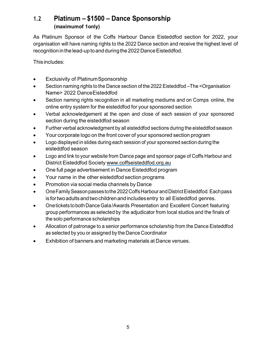#### <span id="page-4-0"></span>**1.2 Platinum – \$1500 – Dance Sponsorship (maximumof 1only)**

As Platinum Sponsor of the Coffs Harbour Dance Eisteddfod section for 2022, your organisation will have naming rights to the 2022 Dance section and receive the highest level of recognition in the lead-up to and during the 2022 Dance Eisteddfod.

- Exclusivity of PlatinumSponsorship
- Section naming rights to the Dance section of the 2022 Eisteddfod –The <Organisation Name> 2022 DanceEisteddfod
- Section naming rights recognition in all marketing mediums and on Comps online, the online entry system for the eisteddfod for your sponsored section
- Verbal acknowledgement at the open and close of each session of your sponsored section during the eisteddfod season
- Further verbal acknowledgment by all eisteddfod sections during the eisteddfod season
- Your corporate logo on the front cover of your sponsored section program
- Logo displayed in slides during each session of your sponsored section during the eisteddfod season
- Logo and link to your website from Dance page and sponsor page of Coffs Harbour and District Eisteddfod Society [www.coffseisteddfod.org.au](http://www.coffseisteddfod.org.au/)
- One full page advertisement in Dance Eisteddfod program
- Your name in the other eisteddfod section programs
- Promotion via social media channels by Dance
- One Family Season passes to the 2022 Coffs Harbour and District Eisteddfod. Each pass is fortwoadultsandtwochildrenand includesentry to all Eisteddfod genres.
- One tickets to both Dance Gala/Awards Presentation and Excellent Concert featuring group performances as selected by the adjudicator from local studios and the finals of the solo performance scholarships
- Allocation of patronage to a senior performance scholarship from the Dance Eisteddfod as selected by you or assigned by the Dance Coordinator
- Exhibition of banners and marketing materials at Dance venues.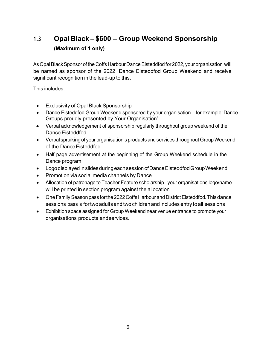## <span id="page-5-0"></span>**1.3 Opal Black – \$600 – Group Weekend Sponsorship (Maximum of 1 only)**

As Opal Black Sponsor of the Coffs Harbour Dance Eisteddfod for 2022, your organisation will be named as sponsor of the 2022 Dance Eisteddfod Group Weekend and receive significant recognition in the lead-up to this.

- Exclusivity of Opal Black Sponsorship
- Dance Eisteddfod Group Weekend sponsored by your organisation for example 'Dance Groups proudly presented by Your Organisation'
- Verbal acknowledgement of sponsorship regularly throughout group weekend of the Dance Eisteddfod
- Verbal spruiking of your organisation's products and services throughout Group Weekend of the Dance Eisteddfod
- Half page advertisement at the beginning of the Group Weekend schedule in the Dance program
- LogodisplayedinslidesduringeachsessionofDanceEisteddfodGroupWeekend
- Promotion via social media channels by Dance
- Allocation of patronage to Teacher Feature scholarship your organisations logo/name will be printed in section program against the allocation
- One Family Season pass for the 2022 Coffs Harbour and District Eisteddfod. This dance sessions pass is for two adults and two children and includes entry to all sessions
- Exhibition space assigned for Group Weekend near venue entrance to promote your organisations products andservices.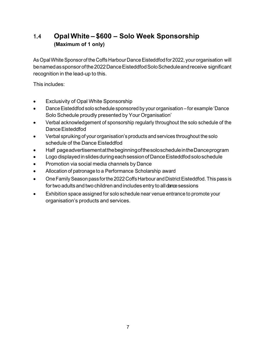## <span id="page-6-0"></span>**1.4 Opal White – \$600 – Solo Week Sponsorship (Maximum of 1 only)**

As Opal White Sponsor of the Coffs Harbour Dance Eisteddfod for 2022, your organisation will benamedassponsorofthe2022DanceEisteddfodSoloScheduleandreceive significant recognition in the lead-up to this.

- Exclusivity of Opal White Sponsorship
- Dance Eisteddfod solo schedule sponsored by your organisation for example 'Dance Solo Schedule proudly presented by Your Organisation'
- Verbal acknowledgement of sponsorship regularly throughout the solo schedule of the Dance Eisteddfod
- Verbal spruiking of your organisation's products and services throughout the solo schedule of the Dance Eisteddfod
- Half pageadvertisementatthebeginningofthesoloscheduleintheDanceprogram
- Logo displayedinslidesduringeachsessionofDanceEisteddfodsoloschedule
- Promotion via social media channels by Dance
- Allocation of patronage to a Performance Scholarship award
- One Family Season pass for the 2022 Coffs Harbour and District Eisteddfod. This pass is for two adults and two children and includes entry to all dance sessions
- Exhibition space assigned for solo schedule near venue entrance to promote your organisation's products and services.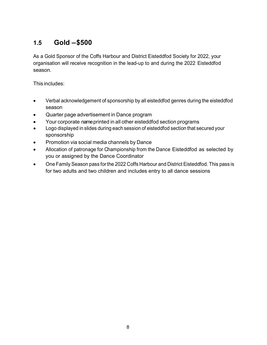## <span id="page-7-0"></span>**1.5 Gold –\$500**

As a Gold Sponsor of the Coffs Harbour and District Eisteddfod Society for 2022, your organisation will receive recognition in the lead-up to and during the 2022 Eisteddfod season.

- Verbal acknowledgement of sponsorship by all eisteddfod genres during the eisteddfod season
- Quarter page advertisement in Dance program
- Your corporate nameprinted in all other eisteddfod section programs
- Logo displayed in slides during each session of eisteddfod section that secured your sponsorship
- Promotion via social media channels by Dance
- Allocation of patronage for Championship from the Dance Eisteddfod as selected by you or assigned by the Dance Coordinator
- One Family Season pass forthe 2022 Coffs Harbour and District Eisteddfod. This pass is for two adults and two children and includes entry to all dance sessions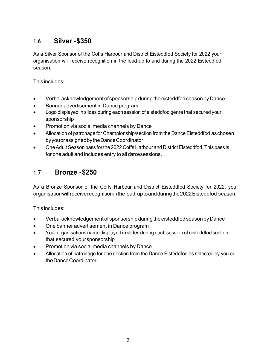### <span id="page-8-0"></span>**1.6 Silver -\$350**

As a Silver Sponsor of the Coffs Harbour and District Eisteddfod Society for 2022 your organisation will receive recognition in the lead-up to and during the 2022 Eisteddfod season.

This includes:

- Verbal acknowledgement of sponsorship during the eisteddfod season by Dance
- Banner advertisement in Dance program
- Logo displayed in slides during each session of eisteddfod genre that secured your sponsorship
- Promotion via social media channels by Dance
- Allocation of patronage for Championship/section from the Dance Eisteddfod aschosen byyouorassignedbytheDanceCoordinator
- OneAdult Season pass forthe 2022 Coffs Harbour and DistrictEisteddfod. This pass is for one adult and includes entry to all dance sessions.

#### <span id="page-8-1"></span>**1.7 Bronze -\$250**

As a Bronze Sponsor of the Coffs Harbour and District Eisteddfod Society for 2022, your organisationwillreceiverecognitioninthelead-uptoandduringthe2022Eisteddfod season.

- Verbalacknowledgementof sponsorshipduringtheeisteddfodseasonbyDance
- One banner advertisement in Dance program
- Your organisations name displayed in slides during each session of eisteddfod section that secured yoursponsorship
- Promotion via social media channels by Dance
- Allocation of patronage for one section from the Dance Eisteddfod as selected by you or theDanceCoordinator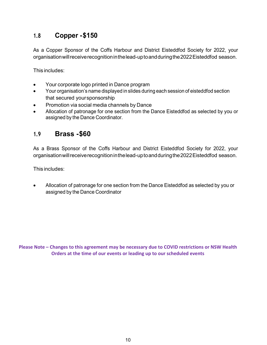#### **1.8 Copper -\$150**

As a Copper Sponsor of the Coffs Harbour and District Eisteddfod Society for 2022, your organisationwillreceiverecognitioninthelead-uptoandduringthe2022Eisteddfod season.

This includes:

- Your corporate logo printed in Dance program
- Your organisation's name displayed in slides during each session of eisteddfod section that secured yoursponsorship
- Promotion via social media channels by Dance
- Allocation of patronage for one section from the Dance Eisteddfod as selected by you or assigned by the Dance Coordinator.

#### **1.9 Brass -\$60**

As a Brass Sponsor of the Coffs Harbour and District Eisteddfod Society for 2022, your organisationwillreceiverecognitioninthelead-uptoandduringthe2022Eisteddfod season.

This includes:

<span id="page-9-0"></span>• Allocation of patronage for one section from the Dance Eisteddfod as selected by you or assigned by the Dance Coordinator

**Please Note – Changes to this agreement may be necessary due to COVID restrictions or NSW Health Orders at the time of our events or leading up to our scheduled events**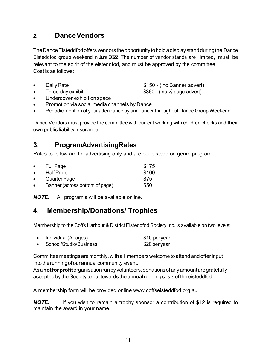### **2. DanceVendors**

TheDanceEisteddfodoffersvendorstheopportunitytoholdadisplaystandduringthe Dance Eisteddfod group weekend in June 2022.. The number of vendor stands are limited, must be relevant to the spirit of the eisteddfod, and must be approved by the committee. Cost is as follows:

• Daily Rate **business and Solution Contract Contract S**150 - (inc Banner advert)

- Three-day exhibit  $$360$  (inc  $\frac{1}{2}$  page advert) • Undercover exhibition space
- Promotion via social media channels by Dance
- Periodic mention of your attendance by announcer throughout Dance Group Weekend.

Dance Vendors must provide the committee with current working with children checks and their own public liability insurance.

### <span id="page-10-0"></span>**3. ProgramAdvertisingRates**

Rates to follow are for advertising only and are per eisteddfod genre program:

| $\bullet$ | <b>Full Page</b>               | \$175 |
|-----------|--------------------------------|-------|
| $\bullet$ | <b>HalfPage</b>                | \$100 |
| $\bullet$ | Quarter Page                   | \$75  |
| $\bullet$ | Banner (across bottom of page) | \$50  |

<span id="page-10-1"></span>*NOTE:* All program's will be available online.

## **4. Membership/Donations/ Trophies**

Membership to the Coffs Harbour & District Eisteddfod Society Inc. is available on two levels:

| Individual (All ages)  | \$10 peryear  |
|------------------------|---------------|
| School/Studio/Business | \$20 per year |

Committee meetings are monthly, with all members welcome to attend and offer input into the running of our annual community event.

Asa**notforprofit**organisationrunbyvolunteers,donationsofanyamountaregratefully accepted by the Society to put towards the annual running costs of the eisteddfod.

A membership form will be provided online [www.coffseisteddfod.org.au](http://www.coffseisteddfod.org.au/)

*NOTE:*If you wish to remain a trophy sponsor a contribution of \$12 is required to maintain the award in your name.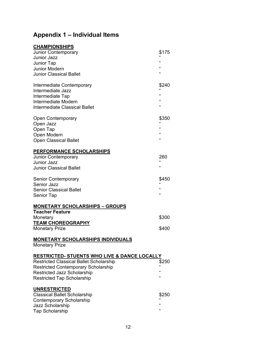## <span id="page-11-0"></span>**Appendix 1 – Individual Items**

| <b>CHAMPIONSHIPS</b>                                              |              |
|-------------------------------------------------------------------|--------------|
| <b>Junior Contemporary</b>                                        | \$175        |
| <b>Junior Jazz</b>                                                | $\mathbf{G}$ |
| <b>Junior Tap</b>                                                 | "            |
| <b>Junior Modern</b>                                              | $\epsilon$   |
| <b>Junior Classical Ballet</b>                                    | "            |
| Intermediate Contemporary                                         | \$240        |
| Intermediate Jazz                                                 |              |
| Intermediate Tap                                                  | $\mathbf{G}$ |
| Intermediate Modern                                               | $\epsilon$   |
| <b>Intermediate Classical Ballet</b>                              | $\mathbf{G}$ |
| Open Contemporary                                                 | \$350        |
| Open Jazz                                                         |              |
| Open Tap                                                          | $\epsilon$   |
| Open Modern                                                       | $\epsilon$   |
| <b>Open Classical Ballet</b>                                      | "            |
| <b>PERFORMANCE SCHOLARSHIPS</b>                                   |              |
| <b>Junior Contemporary</b>                                        | 260          |
| <b>Junior Jazz</b>                                                | "            |
| <b>Junior Classical Ballet</b>                                    |              |
| <b>Senior Contemporary</b>                                        | \$450        |
| <b>Senior Jazz</b>                                                | "            |
| <b>Senior Classical Ballet</b>                                    | "            |
| Senior Tap                                                        |              |
| <b>MONETARY SCHOLARSHIPS - GROUPS</b>                             |              |
| <b>Teacher Feature</b>                                            |              |
| Monetary                                                          | \$300        |
| <b>TEAM CHOREOGRAPHY</b><br><b>Monetary Prize</b>                 | \$400        |
|                                                                   |              |
| <u>MONETARY SCHOLARSHIPS INDIVIDUALS</u><br><b>Monetary Prize</b> |              |
| <b>RESTRICTED- STUENTS WHO LIVE &amp; DANCE LOCALLY</b>           |              |
| <b>Restricted Classical Ballet Scholarship</b>                    | \$250        |
| <b>Restricted Contemporary Scholarship</b>                        |              |
| <b>Restricted Jazz Scholarship</b>                                | $\epsilon$   |
| <b>Restricted Tap Scholarship</b>                                 | "            |
| <b>UNRESTRICTED</b>                                               |              |
| <b>Classical Ballet Scholarship</b>                               | \$250        |
| <b>Contemporary Scholarship</b>                                   |              |
| Jazz Scholarship                                                  | "            |
| <b>Tap Scholarship</b>                                            | "            |